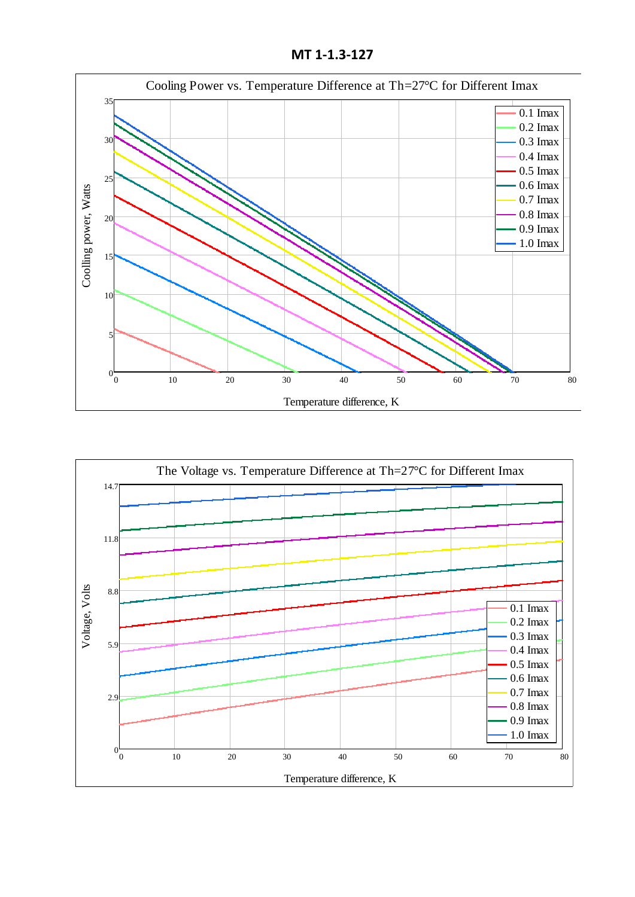**MT 1-1.3-127**